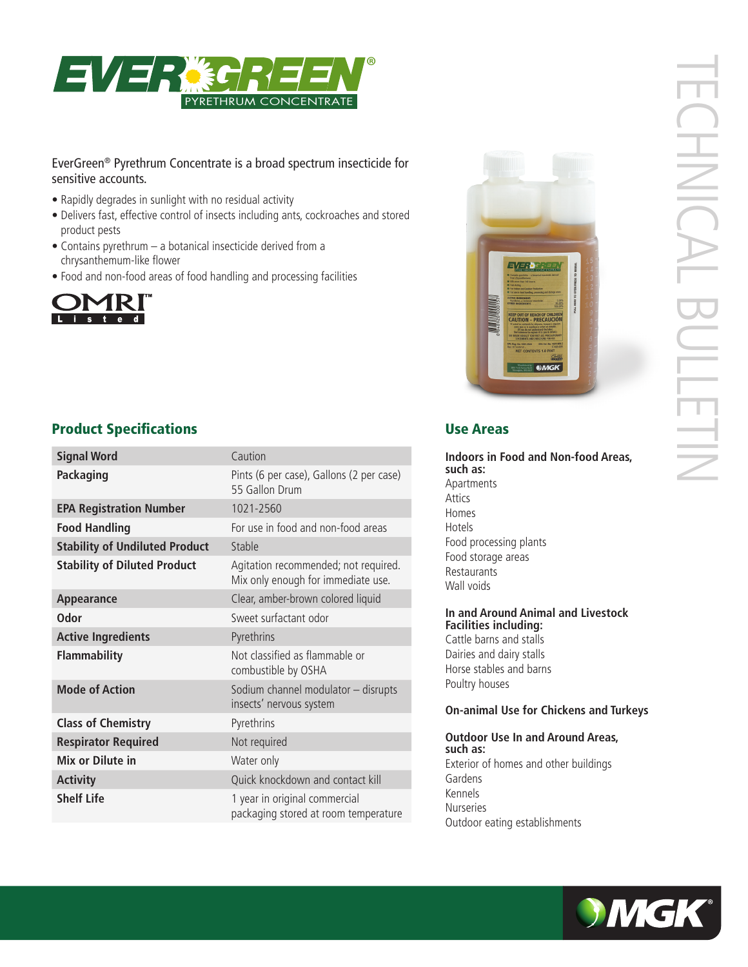

### EverGreen® Pyrethrum Concentrate is a broad spectrum insecticide for sensitive accounts.

- Rapidly degrades in sunlight with no residual activity
- Delivers fast, effective control of insects including ants, cockroaches and stored product pests
- Contains pyrethrum a botanical insecticide derived from a chrysanthemum-like flower
- Food and non-food areas of food handling and processing facilities





# TECHNICAL BULLETIN **CHINICALI ULETIN**

# **Product Specifications Contract Contract Contract Contract Contract Contract Contract Contract Contract Contract Contract Contract Contract Contract Contract Contract Contract Contract Contract Contract Contract Contract**

| <b>Signal Word</b>                    | Caution                                                                    |
|---------------------------------------|----------------------------------------------------------------------------|
| Packaging                             | Pints (6 per case), Gallons (2 per case)<br>55 Gallon Drum                 |
| <b>EPA Registration Number</b>        | 1021-2560                                                                  |
| <b>Food Handling</b>                  | For use in food and non-food areas                                         |
| <b>Stability of Undiluted Product</b> | Stable                                                                     |
| <b>Stability of Diluted Product</b>   | Agitation recommended; not required.<br>Mix only enough for immediate use. |
| Appearance                            | Clear, amber-brown colored liquid                                          |
| Odor                                  | Sweet surfactant odor                                                      |
| <b>Active Ingredients</b>             | Pyrethrins                                                                 |
| <b>Flammability</b>                   | Not classified as flammable or<br>combustible by OSHA                      |
| <b>Mode of Action</b>                 | Sodium channel modulator - disrupts<br>insects' nervous system             |
| <b>Class of Chemistry</b>             | Pyrethrins                                                                 |
| <b>Respirator Required</b>            | Not required                                                               |
| Mix or Dilute in                      | Water only                                                                 |
| <b>Activity</b>                       | Quick knockdown and contact kill                                           |
| <b>Shelf Life</b>                     | 1 year in original commercial<br>packaging stored at room temperature      |

**Indoors in Food and Non-food Areas, such as:** Apartments Attics Homes Hotels Food processing plants Food storage areas Restaurants Wall voids

#### **In and Around Animal and Livestock Facilities including:**

Cattle barns and stalls Dairies and dairy stalls Horse stables and barns Poultry houses

#### **On-animal Use for Chickens and Turkeys**

#### **Outdoor Use In and Around Areas, such as:** Exterior of homes and other buildings Gardens Kennels Nurseries Outdoor eating establishments